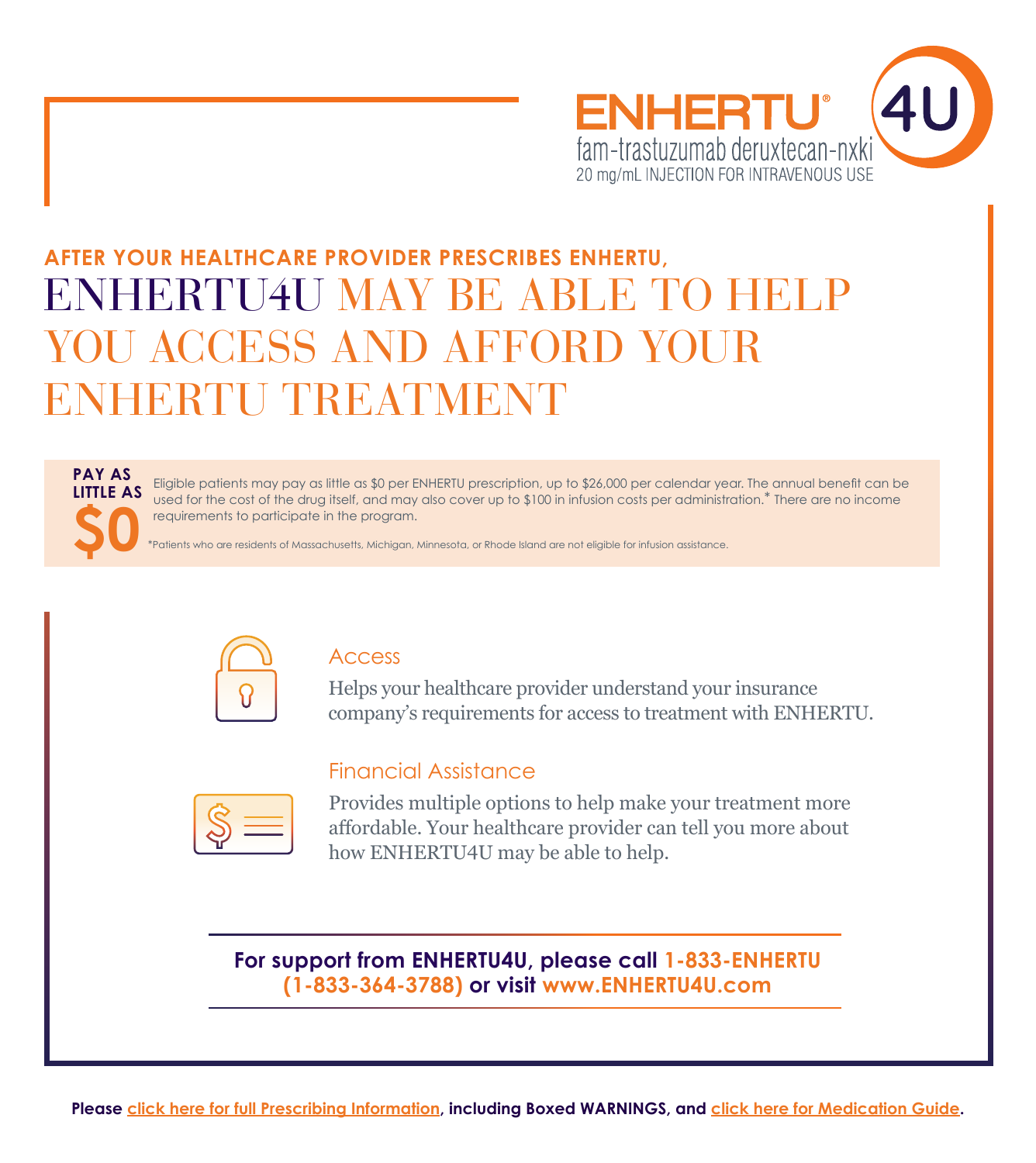

# ENHERTU4U MAY BE ABLE TO HELP YOU ACCESS AND AFFORD YOUR ENHERTU TREATMENT **AFTER YOUR HEALTHCARE PROVIDER PRESCRIBES ENHERTU,**

## **PAY AS LITTLE AS \$0**

Eligible patients may pay as little as \$0 per ENHERTU prescription, up to \$26,000 per calendar year. The annual benefit can be used for the cost of the drug itself, and may also cover up to \$100 in infusion costs per administration.\* There are no income requirements to participate in the program.

\*Patients who are residents of Massachusetts, Michigan, Minnesota, or Rhode Island are not eligible for infusion assistance.

Financial Assistance



### Access

Helps your healthcare provider understand your insurance company's requirements for access to treatment with ENHERTU.

Provides multiple options to help make your treatment more affordable. Your healthcare provider can tell you more about how ENHERTU4U may be able to help.

**For support from ENHERTU4U, please call 1-833-ENHERTU (1-833-364-3788) or visit www.ENHERTU4U.com**